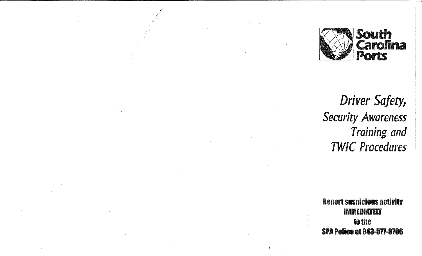

*Driver Safety, Security Awareness Training and TWIC Procedures* 

**Report suspicious activity** IMMEDIATELY to the SPA Police at 843-511-8106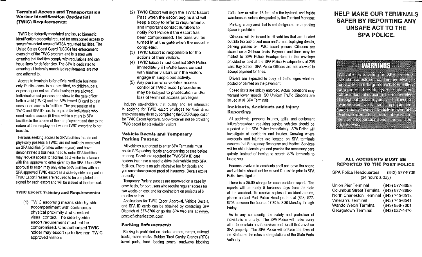#### Terminal Access and Transportation Worker Identification Credential (TWIC) Requirements:

TWIG is a federally mandated and issued biometric identification credential required for unescorted access to secure/restricted areas of MTSA regulated facilities. The United States Coast Guard (USCG) has enforcement oversight of the TWIG program and is tasked with ensuring that facilities comply with regulations and can issue fines for deficiencies. The SPA is dedicated to ensuring all federally mandated requirements are met and adhered to.

Access to terminals is for official verifiable business only. Public access is not permitted, no children, pets, or passengers not on official business are allowed. Individuals must possess and show to the gate officer both a valid (TWIG) and the SPA issued ID card to gain unescorted access to facilities. The possession of a TWIG and SPAID card is required for individuals who need routine access (5 times within a year) to SPA facilities in the course of their employment and due to the nature of their employment where TWIG escorting is not feasible.

Persons seeking access to SPA facilities that do not physically possess a TWIG; are not routinely employed on SPA facilities (5 times within a year); and have demonstrated a business need to enter SPA facilities; may request access to facilities as a visitor in advance with final approval to enter given by the SPA. Upon SPA approval to enter, may only enter SPA facilities with an SPA approved TWIG escort as a side-by-side companion. TWIG Escort Passes are required to be completed and signed for each escort and will be issued at the terminal.

#### TWIC Escort Training and Requirements:

(1) TWIG escorting means side-by-side accompaniment with continuous physical proximity and constant visual contact. The side-by-side escort requirement must not be compromised. One authorized TWIG holder may escort up to five non-TWIG approved visitors.

- (2) TWIG Escort will sign the TWIG Escort Pass when the escort begins and will keep a copy to refer to requirements and important contact numbers to notify Port Police if the escort has been compromised. The pass will be turned in at the gate when the escort is completed.
- (3) TWIG Escort is responsible for the actions of their visitors.
- (4) TWIG Escort must contact SPA Police immediately if he/she loses contact with his/her visitors or if the visitors engage in suspicious activity.
- (5) Any person who violates access control or TWIG escort procedures may be subject to prosecution and/or loss of terminal access privileges.

Industry stakeholders that qualify and are interested in applying for TWIG escort privileges for their direct employees may do so by completing the SGSPAapplication for TWIG Escort Approval. SPA Police will not be providing TWIG escort for stakeholder visitors.

#### Vehicle Decals and Temporary Parking Passes:

All vehicles authorized to enter SPA Terminals must obtain SPA parking decals and/or parking passes before entering. Decals are required for TWIG/SPAID card holders that have a need to drive their vehicle onto SPA facilities. There is an administrative fee for decals and you must show current proof of insurance. Decals expire annually.

Temporary Parking passes are approved on a case by case basis, for port users who require regular access for two weeks or less; and for contractors on projects of 6 months or less.

Applications for TWIG Escort Approval, Vehicle Decals, and SPA ID cards can be obtained by contacting SPA Dispatch at 577-8706 or go the SPA web site at www. and SPA ID cards can be obtained by contacting SPA<br>Dispatch at 577-8706 or go the SPA web site at <u>www.</u><br><u>port-of-charleston.com</u>.

#### Parking Enforcement:

Parking is prohibited on docks, aprons, ramps, railroad tracks, crane tracks, Rubber Tired Gantry Cranes (RTG) travel pads, truck loading zones, roadways blocking traffic flow or within 15 feet of a fire hydrant, and inside warehouses, unless designated by the Terminal Manager.

-----·----··

Parking in any area that is not designated as a parking space is prohibited.

Citations will be issued to all vehicles that are located outside the authorized area and/or not displaying decals, parking passes or TWIG escort passes. Citations are issued on a 24 hour basis. Payment and fines may be mailed to SPA Police Headquarters in the envelope provided or paid at the SPA Police Headquarters at 238 East Bay Street. SPA Police Officers are not allowed to accept payment for fines.

Drivers are expected to obey all traffic signs whether posted or painted on the pavement.

Speed limits are strictly enforced. Actual conditions may warrant lower speeds. SC Uniform Traffic Citations are issued at all SPA Terminals.

#### Incidents, Accidents and Injury Reporting:

All accidents, personal injuries, spills, and equipment failure/breakdown requiring service vehicles should be reported to the SPA Police immediately. SPA Police will investigate all accidents and injuries. Knowing where accidents and injuries are located on SPA terminals ensures that Emergency Response and Medical Services will be able to locate you and provide the necessary care quickly, instead of having to search SPA terminals to locate you.

Persons involved in accidents shall not leave the scene and vehicles should not be moved if possible prior to SPA Police investigation.

There is a \$5.00 charge for each accident report. The reports will be ready 5 business days from the date of the accident. To receive copies of accident reports, please contact Port Police Headquarters at (843) 577- 8706 between the hours of 7:30 to 3:30 Monday through Friday.

As in any community, the safety and protection of individuals is priority. The SPA Police will make every effort to maintain a safe environment for all that travel on SPA property. The SPA Police will enforce the laws of the State and the rules and regulations of the State Ports Authority.

# HELP MAKE OUR TERMINALS SAFER BY REPORTING ANY UNSAFE ACT TO THE SPA POLICE.

# WARTHER

All vehicles traveling on SPA property should use extreme caution and always be aware that large container handling equipment, forklifts, yard trucks and other industrial equipment are operating throughout container yards and adjacent to warehouses. Container lifting equipment has priority over all vehicle movement Vehicle operators must observe all equipment operation zones and yield the **Minibalavey** 

#### ALL ACCIDENTS MUST BE REPORTED TO THE PORT POLICE

### SPA Police Headquarters (843) 577-8706 (24 hours a day)

| <b>Union Pier Terminal</b>               | (843) 577-8653 |
|------------------------------------------|----------------|
| Columbus Street Terminal (843) 577-8650  |                |
| North Charleston Terminal (843) 745-6513 |                |
| Veteran's Terminal                       | (843) 745-6541 |
| Wando Welch Terminal                     | (843) 856-7001 |
| Georgetown Terminal                      | (843) 527-4476 |